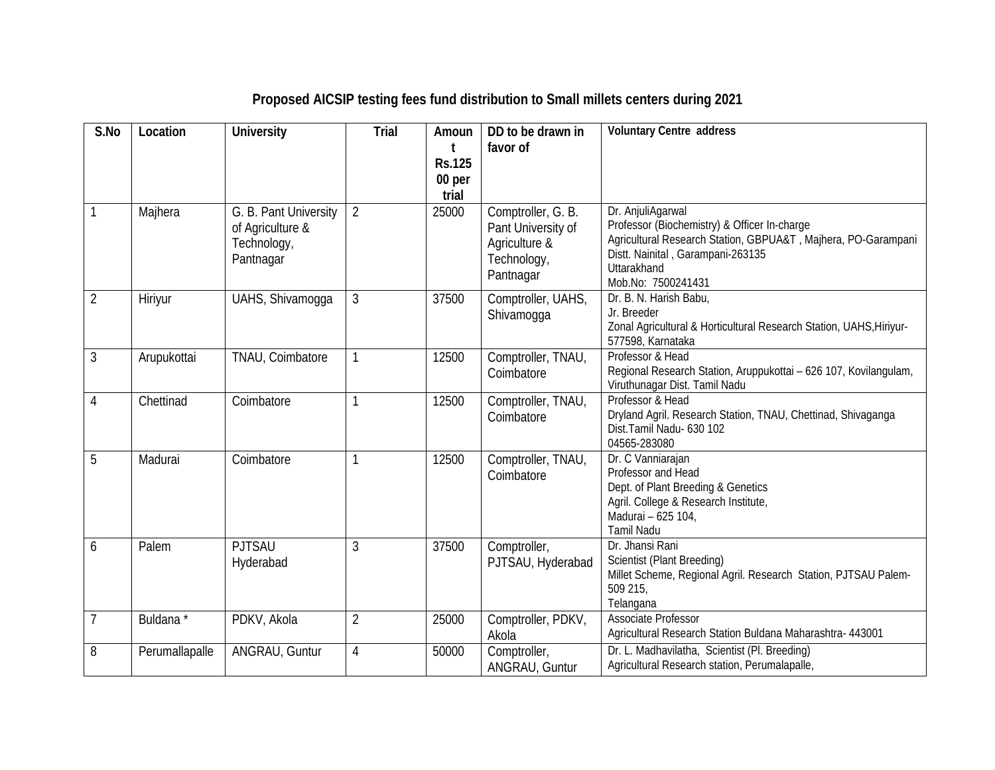| S.No           | Location       | <b>University</b>                                                     | <b>Trial</b>   | Amoun<br>t<br><b>Rs.125</b><br>00 per<br>trial | DD to be drawn in<br>favor of                                                         | <b>Voluntary Centre address</b>                                                                                                                                                                              |
|----------------|----------------|-----------------------------------------------------------------------|----------------|------------------------------------------------|---------------------------------------------------------------------------------------|--------------------------------------------------------------------------------------------------------------------------------------------------------------------------------------------------------------|
| $\mathbf{1}$   | Majhera        | G. B. Pant University<br>of Agriculture &<br>Technology,<br>Pantnagar | $\overline{2}$ | 25000                                          | Comptroller, G. B.<br>Pant University of<br>Agriculture &<br>Technology,<br>Pantnagar | Dr. AnjuliAgarwal<br>Professor (Biochemistry) & Officer In-charge<br>Agricultural Research Station, GBPUA&T, Majhera, PO-Garampani<br>Distt. Nainital, Garampani-263135<br>Uttarakhand<br>Mob.No: 7500241431 |
| $\overline{2}$ | Hiriyur        | UAHS, Shivamogga                                                      | 3              | 37500                                          | Comptroller, UAHS,<br>Shivamoqqa                                                      | Dr. B. N. Harish Babu,<br>Jr. Breeder<br>Zonal Agricultural & Horticultural Research Station, UAHS, Hiriyur-<br>577598, Karnataka                                                                            |
| $\mathfrak{Z}$ | Arupukottai    | TNAU, Coimbatore                                                      |                | 12500                                          | Comptroller, TNAU,<br>Coimbatore                                                      | Professor & Head<br>Regional Research Station, Aruppukottai - 626 107, Kovilangulam,<br>Viruthunagar Dist. Tamil Nadu                                                                                        |
| $\overline{4}$ | Chettinad      | Coimbatore                                                            | $\mathbf{1}$   | 12500                                          | Comptroller, TNAU,<br>Coimbatore                                                      | Professor & Head<br>Dryland Agril. Research Station, TNAU, Chettinad, Shivaganga<br>Dist.Tamil Nadu- 630 102<br>04565-283080                                                                                 |
| 5              | Madurai        | Coimbatore                                                            |                | 12500                                          | Comptroller, TNAU,<br>Coimbatore                                                      | Dr. C Vanniarajan<br>Professor and Head<br>Dept. of Plant Breeding & Genetics<br>Agril. College & Research Institute,<br>Madurai - 625 104,<br><b>Tamil Nadu</b>                                             |
| 6              | Palem          | <b>PJTSAU</b><br>Hyderabad                                            | 3              | 37500                                          | Comptroller,<br>PJTSAU, Hyderabad                                                     | Dr. Jhansi Rani<br>Scientist (Plant Breeding)<br>Millet Scheme, Regional Agril. Research Station, PJTSAU Palem-<br>509 215,<br>Telangana                                                                     |
| $\overline{7}$ | Buldana *      | PDKV, Akola                                                           | $\overline{2}$ | 25000                                          | Comptroller, PDKV,<br>Akola                                                           | Associate Professor<br>Agricultural Research Station Buldana Maharashtra- 443001                                                                                                                             |
| 8              | Perumallapalle | ANGRAU, Guntur                                                        | 4              | 50000                                          | Comptroller,<br>ANGRAU, Guntur                                                        | Dr. L. Madhavilatha, Scientist (Pl. Breeding)<br>Agricultural Research station, Perumalapalle,                                                                                                               |

## **Proposed AICSIP testing fees fund distribution to Small millets centers during 2021**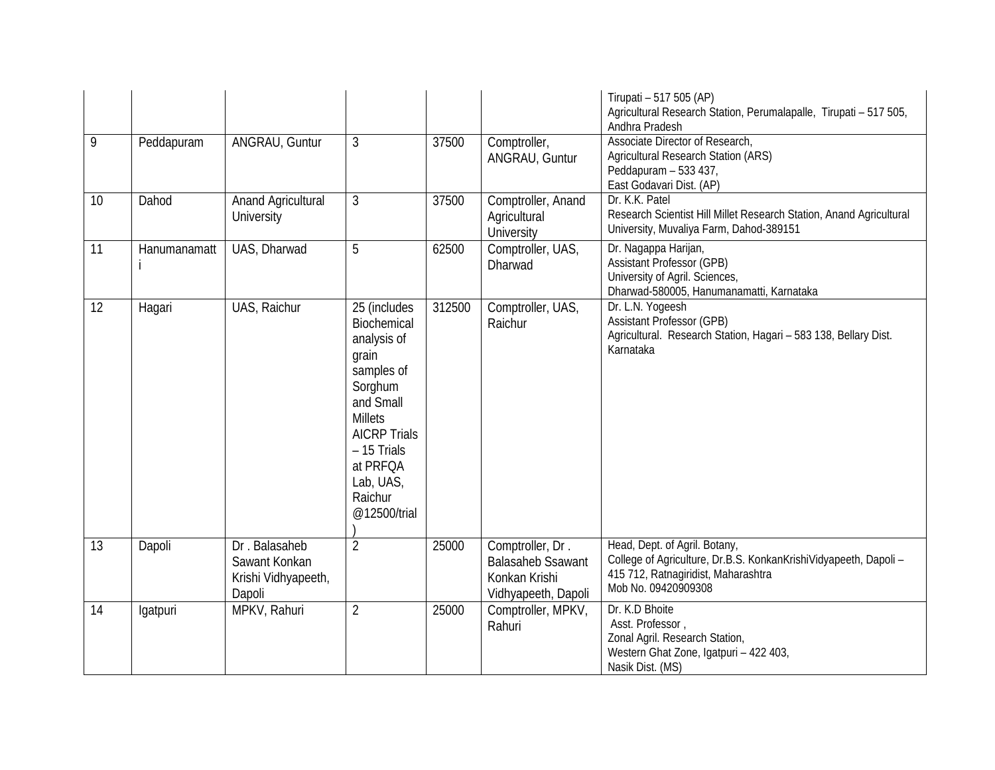|    |              |                                                                 |                                                                                                                                                                                                       |        |                                                                                      | Tirupati - 517 505 (AP)<br>Agricultural Research Station, Perumalapalle, Tirupati - 517 505,<br>Andhra Pradesh                                                  |
|----|--------------|-----------------------------------------------------------------|-------------------------------------------------------------------------------------------------------------------------------------------------------------------------------------------------------|--------|--------------------------------------------------------------------------------------|-----------------------------------------------------------------------------------------------------------------------------------------------------------------|
| 9  | Peddapuram   | ANGRAU, Guntur                                                  | 3                                                                                                                                                                                                     | 37500  | Comptroller,<br>ANGRAU, Guntur                                                       | Associate Director of Research,<br>Agricultural Research Station (ARS)<br>Peddapuram - 533 437,<br>East Godavari Dist. (AP)                                     |
| 10 | Dahod        | Anand Agricultural<br>University                                | 3                                                                                                                                                                                                     | 37500  | Comptroller, Anand<br>Agricultural<br>University                                     | Dr. K.K. Patel<br>Research Scientist Hill Millet Research Station, Anand Agricultural<br>University, Muvaliya Farm, Dahod-389151                                |
| 11 | Hanumanamatt | UAS, Dharwad                                                    | 5                                                                                                                                                                                                     | 62500  | Comptroller, UAS,<br>Dharwad                                                         | Dr. Nagappa Harijan,<br><b>Assistant Professor (GPB)</b><br>University of Agril. Sciences,<br>Dharwad-580005, Hanumanamatti, Karnataka                          |
| 12 | Hagari       | UAS, Raichur                                                    | 25 (includes<br>Biochemical<br>analysis of<br>grain<br>samples of<br>Sorghum<br>and Small<br><b>Millets</b><br><b>AICRP Trials</b><br>- 15 Trials<br>at PRFQA<br>Lab, UAS,<br>Raichur<br>@12500/trial | 312500 | Comptroller, UAS,<br>Raichur                                                         | Dr. L.N. Yogeesh<br><b>Assistant Professor (GPB)</b><br>Agricultural. Research Station, Hagari - 583 138, Bellary Dist.<br>Karnataka                            |
| 13 | Dapoli       | Dr. Balasaheb<br>Sawant Konkan<br>Krishi Vidhyapeeth,<br>Dapoli | $\overline{2}$                                                                                                                                                                                        | 25000  | Comptroller, Dr.<br><b>Balasaheb Ssawant</b><br>Konkan Krishi<br>Vidhyapeeth, Dapoli | Head, Dept. of Agril. Botany,<br>College of Agriculture, Dr.B.S. KonkanKrishiVidyapeeth, Dapoli -<br>415 712, Ratnagiridist, Maharashtra<br>Mob No. 09420909308 |
| 14 | lgatpuri     | MPKV, Rahuri                                                    | $\overline{2}$                                                                                                                                                                                        | 25000  | Comptroller, MPKV,<br>Rahuri                                                         | Dr. K.D Bhoite<br>Asst. Professor,<br>Zonal Agril. Research Station,<br>Western Ghat Zone, Igatpuri - 422 403,<br>Nasik Dist. (MS)                              |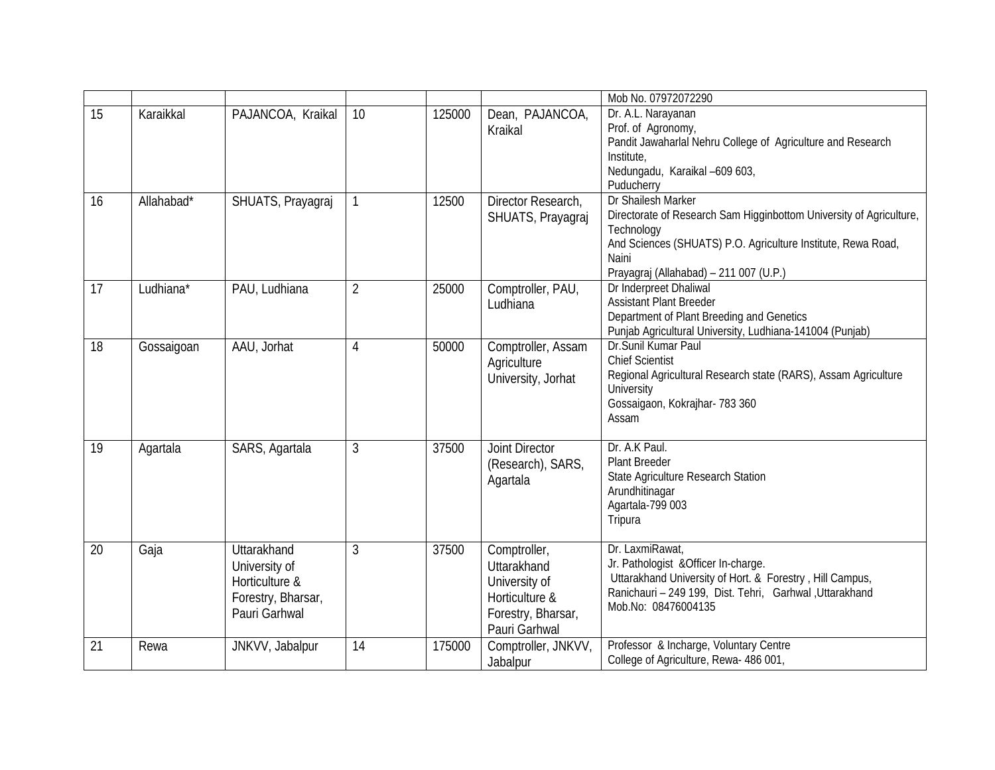|    |            |                                                                                       |                |        |                                                                                                       | Mob No. 07972072290                                                                                                                                                                                                        |
|----|------------|---------------------------------------------------------------------------------------|----------------|--------|-------------------------------------------------------------------------------------------------------|----------------------------------------------------------------------------------------------------------------------------------------------------------------------------------------------------------------------------|
| 15 | Karaikkal  | PAJANCOA, Kraikal                                                                     | 10             | 125000 | Dean, PAJANCOA,<br>Kraikal                                                                            | Dr. A.L. Narayanan<br>Prof. of Agronomy,<br>Pandit Jawaharlal Nehru College of Agriculture and Research<br>Institute,<br>Nedungadu, Karaikal -609 603,<br>Puducherry                                                       |
| 16 | Allahabad* | SHUATS, Prayagraj                                                                     |                | 12500  | Director Research,<br>SHUATS, Prayagraj                                                               | Dr Shailesh Marker<br>Directorate of Research Sam Higginbottom University of Agriculture,<br>Technology<br>And Sciences (SHUATS) P.O. Agriculture Institute, Rewa Road,<br>Naini<br>Prayagraj (Allahabad) - 211 007 (U.P.) |
| 17 | Ludhiana*  | PAU, Ludhiana                                                                         | $\overline{2}$ | 25000  | Comptroller, PAU,<br>Ludhiana                                                                         | Dr Inderpreet Dhaliwal<br><b>Assistant Plant Breeder</b><br>Department of Plant Breeding and Genetics<br>Punjab Agricultural University, Ludhiana-141004 (Punjab)                                                          |
| 18 | Gossaigoan | AAU, Jorhat                                                                           | 4              | 50000  | Comptroller, Assam<br>Agriculture<br>University, Jorhat                                               | Dr.Sunil Kumar Paul<br><b>Chief Scientist</b><br>Regional Agricultural Research state (RARS), Assam Agriculture<br>University<br>Gossaigaon, Kokrajhar- 783 360<br>Assam                                                   |
| 19 | Agartala   | SARS, Agartala                                                                        | 3              | 37500  | Joint Director<br>(Research), SARS,<br>Agartala                                                       | Dr. A.K Paul.<br><b>Plant Breeder</b><br>State Agriculture Research Station<br>Arundhitinagar<br>Agartala-799 003<br>Tripura                                                                                               |
| 20 | Gaja       | Uttarakhand<br>University of<br>Horticulture &<br>Forestry, Bharsar,<br>Pauri Garhwal | 3              | 37500  | Comptroller,<br>Uttarakhand<br>University of<br>Horticulture &<br>Forestry, Bharsar,<br>Pauri Garhwal | Dr. LaxmiRawat,<br>Jr. Pathologist & Officer In-charge.<br>Uttarakhand University of Hort. & Forestry, Hill Campus,<br>Ranichauri - 249 199, Dist. Tehri, Garhwal Uttarakhand<br>Mob.No: 08476004135                       |
| 21 | Rewa       | JNKVV, Jabalpur                                                                       | 14             | 175000 | Comptroller, JNKVV,<br>Jabalpur                                                                       | Professor & Incharge, Voluntary Centre<br>College of Agriculture, Rewa- 486 001,                                                                                                                                           |